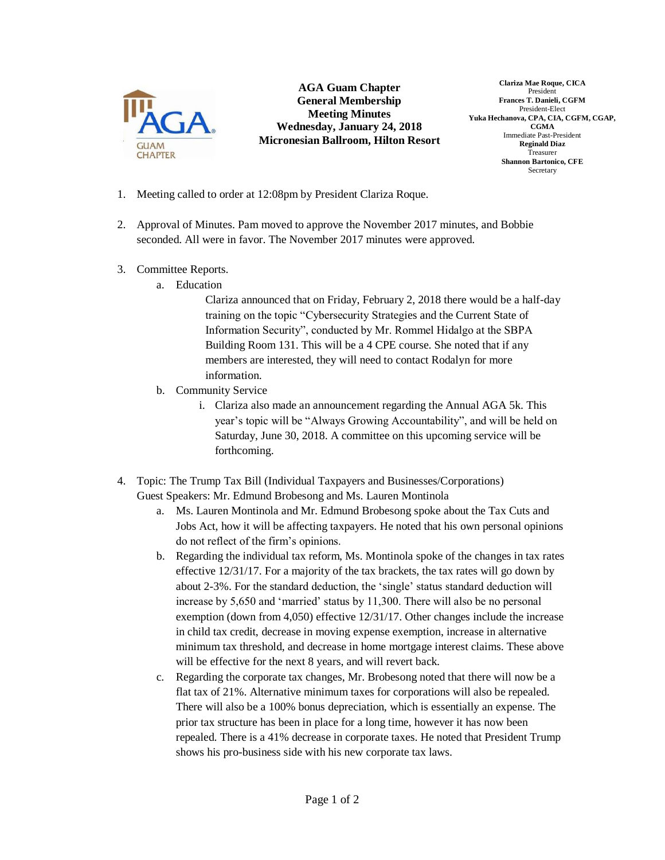

**AGA Guam Chapter General Membership Meeting Minutes Wednesday, January 24, 2018 Micronesian Ballroom, Hilton Resort**

**Clariza Mae Roque, CICA** President **Frances T. Danieli, CGFM** President-Elect **Yuka Hechanova, CPA, CIA, CGFM, CGAP, CGMA** Immediate Past-President **Reginald Diaz** Treasurer **Shannon Bartonico, CFE** Secretary

- 1. Meeting called to order at 12:08pm by President Clariza Roque.
- 2. Approval of Minutes. Pam moved to approve the November 2017 minutes, and Bobbie seconded. All were in favor. The November 2017 minutes were approved.
- 3. Committee Reports.
	- a. Education

Clariza announced that on Friday, February 2, 2018 there would be a half-day training on the topic "Cybersecurity Strategies and the Current State of Information Security", conducted by Mr. Rommel Hidalgo at the SBPA Building Room 131. This will be a 4 CPE course. She noted that if any members are interested, they will need to contact Rodalyn for more information.

- b. Community Service
	- i. Clariza also made an announcement regarding the Annual AGA 5k. This year's topic will be "Always Growing Accountability", and will be held on Saturday, June 30, 2018. A committee on this upcoming service will be forthcoming.
- 4. Topic: The Trump Tax Bill (Individual Taxpayers and Businesses/Corporations) Guest Speakers: Mr. Edmund Brobesong and Ms. Lauren Montinola
	- a. Ms. Lauren Montinola and Mr. Edmund Brobesong spoke about the Tax Cuts and Jobs Act, how it will be affecting taxpayers. He noted that his own personal opinions do not reflect of the firm's opinions.
	- b. Regarding the individual tax reform, Ms. Montinola spoke of the changes in tax rates effective 12/31/17. For a majority of the tax brackets, the tax rates will go down by about 2-3%. For the standard deduction, the 'single' status standard deduction will increase by 5,650 and 'married' status by 11,300. There will also be no personal exemption (down from 4,050) effective 12/31/17. Other changes include the increase in child tax credit, decrease in moving expense exemption, increase in alternative minimum tax threshold, and decrease in home mortgage interest claims. These above will be effective for the next 8 years, and will revert back.
	- c. Regarding the corporate tax changes, Mr. Brobesong noted that there will now be a flat tax of 21%. Alternative minimum taxes for corporations will also be repealed. There will also be a 100% bonus depreciation, which is essentially an expense. The prior tax structure has been in place for a long time, however it has now been repealed. There is a 41% decrease in corporate taxes. He noted that President Trump shows his pro-business side with his new corporate tax laws.